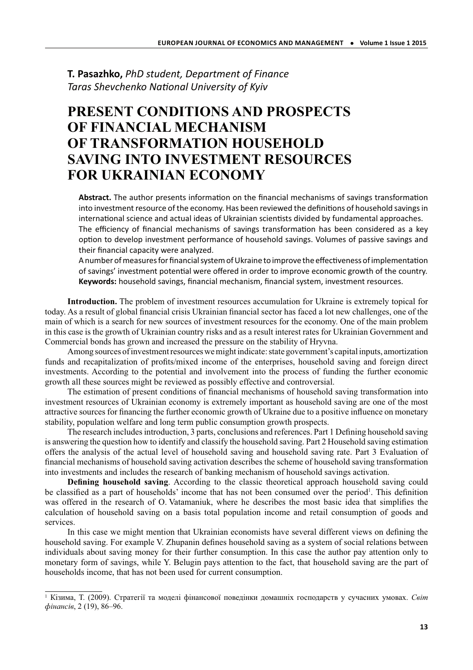**T. Pasazhko,** *PhD student, Department of Finance* **Taras Shevchenko National University of Kyiv** 

## **PRESENT CONDITIONS AND PROSPECTS OF FINANCIAL MECHANISM OF TRANSFORMATION HOUSEHOLD SAVING INTO INVESTMENT RESOURCES FOR UKRAINIAN ECONOMY**

Abstract. The author presents information on the financial mechanisms of savings transformation into investment resource of the economy. Has been reviewed the definitions of household savings in international science and actual ideas of Ukrainian scientists divided by fundamental approaches. The efficiency of financial mechanisms of savings transformation has been considered as a key option to develop investment performance of household savings. Volumes of passive savings and their financial capacity were analyzed.

A number of measures for financial system of Ukraine to improve the effectiveness of implementation of savings' investment potential were offered in order to improve economic growth of the country. **Keywords:** household savings, financial mechanism, financial system, investment resources.

**Introduction.** The problem of investment resources accumulation for Ukraine is extremely topical for today. As a result of global financial crisis Ukrainian financial sector has faced a lot new challenges, one of the main of which is a search for new sources of investment resources for the economy. One of the main problem in this case is the growth of Ukrainian country risks and as a result interest rates for Ukrainian Government and Commercial bonds has grown and increased the pressure on the stability of Hryvna.

Among sources of investment resources we might indicate: state government's capital inputs, amortization funds and recapitalization of profits/mixed income of the enterprises, household saving and foreign direct investments. According to the potential and involvement into the process of funding the further economic growth all these sources might be reviewed as possibly effective and controversial.

The estimation of present conditions of financial mechanisms of household saving transformation into investment resources of Ukrainian economy is extremely important as household saving are one of the most attractive sources for financing the further economic growth of Ukraine due to a positive influence on monetary stability, population welfare and long term public consumption growth prospects.

The research includes introduction, 3 parts, conclusions and references. Part 1 Defining household saving is answering the question how to identify and classify the household saving. Part 2 Household saving estimation offers the analysis of the actual level of household saving and household saving rate. Part 3 Evaluation of financial mechanisms of household saving activation describes the scheme of household saving transformation into investments and includes the research of banking mechanism of household savings activation.

**Defining household saving**. According to the classic theoretical approach household saving could be classified as a part of households' income that has not been consumed over the period<sup>1</sup>. This definition was offered in the research of O. Vatamaniuk, where he describes the most basic idea that simplifies the calculation of household saving on a basis total population income and retail consumption of goods and services.

In this case we might mention that Ukrainian economists have several different views on defining the household saving. For example V. Zhupanin defines household saving as a system of social relations between individuals about saving money for their further consumption. In this case the author pay attention only to monetary form of savings, while Y. Belugin pays attention to the fact, that household saving are the part of households income, that has not been used for current consumption.

<sup>1</sup> Кізима, Т. (2009). Стратегії та моделі фінансової поведінки домашніх господарств у сучасних умовах. *Світ фінансів*, 2 (19), 86–96.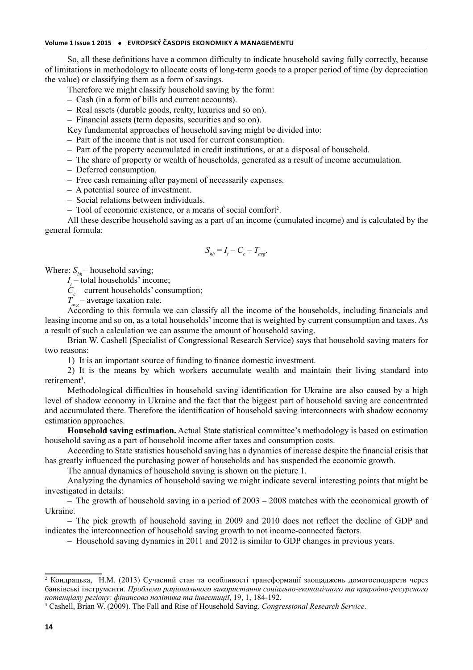So, all these definitions have a common difficulty to indicate household saving fully correctly, because of limitations in methodology to allocate costs of long-term goods to a proper period of time (by depreciation the value) or classifying them as a form of savings.

Therefore we might classify household saving by the form:

– Cash (in a form of bills and current accounts).

- Real assets (durable goods, realty, luxuries and so on).
- Financial assets (term deposits, securities and so on).

Key fundamental approaches of household saving might be divided into:

– Part of the income that is not used for current consumption.

– Part of the property accumulated in credit institutions, or at a disposal of household.

– The share of property or wealth of households, generated as a result of income accumulation.

– Deferred consumption.

– Free cash remaining after payment of necessarily expenses.

– A potential source of investment.

– Social relations between individuals.

- Tool of economic existence, or a means of social comfort<sup>2</sup>.

All these describe household saving as a part of an income (cumulated income) and is calculated by the general formula:

$$
S_{hh} = I_t - C_c - T_{avg}.
$$

Where:  $S_{hh}$  – household saving;

*I* – total households' income;

 $C_c$  – current households' consumption;

 $T_{\text{avg}}^{c}$  – average taxation rate.

According to this formula we can classify all the income of the households, including financials and leasing income and so on, as a total households' income that is weighted by current consumption and taxes. As a result of such a calculation we can assume the amount of household saving.

Brian W. Cashell (Specialist of Congressional Research Service) says that household saving maters for two reasons:

1) It is an important source of funding to finance domestic investment.

2) It is the means by which workers accumulate wealth and maintain their living standard into retirement<sup>3</sup>.

Methodological difficulties in household saving identification for Ukraine are also caused by a high level of shadow economy in Ukraine and the fact that the biggest part of household saving are concentrated and accumulated there. Therefore the identification of household saving interconnects with shadow economy estimation approaches.

**Household saving estimation.** Actual State statistical committee's methodology is based on estimation household saving as a part of household income after taxes and consumption costs.

According to State statistics household saving has a dynamics of increase despite the financial crisis that has greatly influenced the purchasing power of households and has suspended the economic growth.

The annual dynamics of household saving is shown on the picture 1.

Analyzing the dynamics of household saving we might indicate several interesting points that might be investigated in details:

 $-$  The growth of household saving in a period of 2003 – 2008 matches with the economical growth of Ukraine.

– The pick growth of household saving in 2009 and 2010 does not reflect the decline of GDP and indicates the interconnection of household saving growth to not income-connected factors.

– Household saving dynamics in 2011 and 2012 is similar to GDP changes in previous years.

<sup>2</sup> Кондрацька, Н.М. (2013) Сучасний стан та особливості трансформації заощаджень домогосподарств через банківські інструменти. *Проблеми раціонального використання соціально-економічного та природно-ресурсного потенціалу регіону: фінансова політика та інвестиції*, 19, 1, 184-192.

<sup>3</sup> Cashell, Brian W. (2009). The Fall and Rise of Household Saving. *Congressional Research Service*.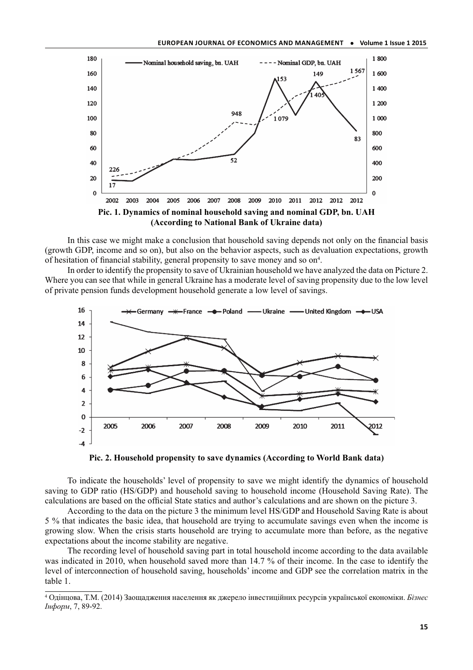

In this case we might make a conclusion that household saving depends not only on the financial basis (growth GDP, income and so on), but also on the behavior aspects, such as devaluation expectations, growth of hesitation of financial stability, general propensity to save money and so on<sup>4</sup>.

In order to identify the propensity to save of Ukrainian household we have analyzed the data on Picture 2. Where you can see that while in general Ukraine has a moderate level of saving propensity due to the low level of private pension funds development household generate a low level of savings.





To indicate the households' level of propensity to save we might identify the dynamics of household saving to GDP ratio (HS/GDP) and household saving to household income (Household Saving Rate). The calculations are based on the official State statics and author's calculations and are shown on the picture 3.

According to the data on the picture 3 the minimum level HS/GDP and Household Saving Rate is about 5 % that indicates the basic idea, that household are trying to accumulate savings even when the income is growing slow. When the crisis starts household are trying to accumulate more than before, as the negative expectations about the income stability are negative.

The recording level of household saving part in total household income according to the data available was indicated in 2010, when household saved more than 14.7 % of their income. In the case to identify the level of interconnection of household saving, households' income and GDP see the correlation matrix in the table 1.

<sup>4</sup> Одінцова, Т.М. (2014) Заощадження населення як джерело інвестиційних ресурсів української економіки. *Бізнес Інформ*, 7, 89-92.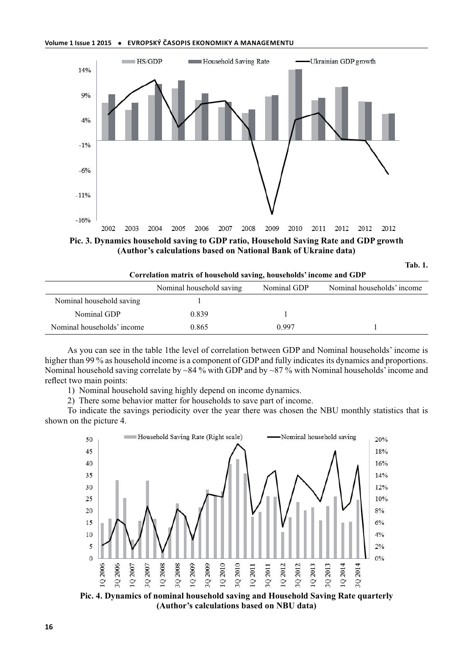

**Pic. 3. Dynamics household saving to GDP ratio, Household Saving Rate and GDP growth (Author's calculations based on National Bank of Ukraine data)**

| .,<br>۰.<br>٠<br>۰. |  |
|---------------------|--|
|                     |  |

| Correlation matrix of household saving, households' income and GDP |                          |             |                            |
|--------------------------------------------------------------------|--------------------------|-------------|----------------------------|
|                                                                    | Nominal household saving | Nominal GDP | Nominal households' income |
| Nominal household saving                                           |                          |             |                            |
| Nominal GDP                                                        | 0.839                    |             |                            |
| Nominal households' income                                         | 0.865                    | 0.997       |                            |

As you can see in the table 1the level of correlation between GDP and Nominal households' income is higher than 99 % as household income is a component of GDP and fully indicates its dynamics and proportions. Nominal household saving correlate by ~84 % with GDP and by ~87 % with Nominal households' income and reflect two main points:

1) Nominal household saving highly depend on income dynamics.

2) There some behavior matter for households to save part of income.

To indicate the savings periodicity over the year there was chosen the NBU monthly statistics that is shown on the picture 4.



**Pic. 4. Dynamics of nominal household saving and Household Saving Rate quarterly (Author's calculations based on NBU data)**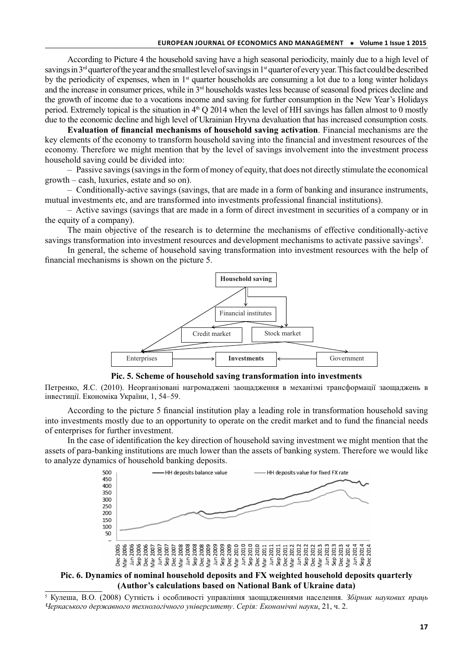According to Picture 4 the household saving have a high seasonal periodicity, mainly due to a high level of savings in 3rd quarter of the year and the smallest level of savings in 1st quarter of every year. This fact could be described by the periodicity of expenses, when in 1<sup>st</sup> quarter households are consuming a lot due to a long winter holidays and the increase in consumer prices, while in 3rd households wastes less because of seasonal food prices decline and the growth of income due to a vocations income and saving for further consumption in the New Year's Holidays period. Extremely topical is the situation in  $4<sup>th</sup>$  O 2014 when the level of HH savings has fallen almost to 0 mostly due to the economic decline and high level of Ukrainian Hryvna devaluation that has increased consumption costs.

**Evaluation of financial mechanisms of household saving activation**. Financial mechanisms are the key elements of the economy to transform household saving into the financial and investment resources of the economy. Therefore we might mention that by the level of savings involvement into the investment process household saving could be divided into:

– Passive savings (savings in the form of money of equity, that does not directly stimulate the economical growth – cash, luxuries, estate and so on).

– Conditionally-active savings (savings, that are made in a form of banking and insurance instruments, mutual investments etc, and are transformed into investments professional financial institutions).

– Active savings (savings that are made in a form of direct investment in securities of a company or in the equity of a company).

The main objective of the research is to determine the mechanisms of effective conditionally-active savings transformation into investment resources and development mechanisms to activate passive savings<sup>5</sup>.

In general, the scheme of household saving transformation into investment resources with the help of financial mechanisms is shown on the picture 5.



**Pic. 5. Scheme of household saving transformation into investments**

Петренко, Я.С. (2010). Неорганізовані нагромаджені заощадження в механізмі трансформації заощаджень в інвестиції. Економіка України, 1, 54–59.

According to the picture 5 financial institution play a leading role in transformation household saving into investments mostly due to an opportunity to operate on the credit market and to fund the financial needs of enterprises for further investment.

In the case of identification the key direction of household saving investment we might mention that the assets of para-banking institutions are much lower than the assets of banking system. Therefore we would like to analyze dynamics of household banking deposits.



**Pic. 6. Dynamics of nominal household deposits and FX weighted household deposits quarterly (Author's calculations based on National Bank of Ukraine data)**

5 Кулеша, В.О. (2008) Сутність і особливості управління заощадженнями населення. *Збірник наукових праць Черкаського державного технологічного університету*. *Серія: Економічні науки*, 21, ч. 2.